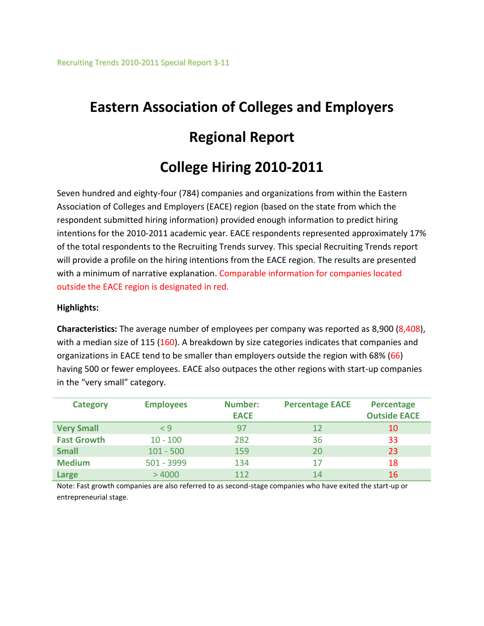# **Eastern Association of Colleges and Employers Regional Report**

# **College Hiring 2010-2011**

Seven hundred and eighty-four (784) companies and organizations from within the Eastern Association of Colleges and Employers (EACE) region (based on the state from which the respondent submitted hiring information) provided enough information to predict hiring intentions for the 2010-2011 academic year. EACE respondents represented approximately 17% of the total respondents to the Recruiting Trends survey. This special Recruiting Trends report will provide a profile on the hiring intentions from the EACE region. The results are presented with a minimum of narrative explanation. Comparable information for companies located outside the EACE region is designated in red.

#### **Highlights:**

**Characteristics:** The average number of employees per company was reported as 8,900 (8,408), with a median size of 115 (160). A breakdown by size categories indicates that companies and organizations in EACE tend to be smaller than employers outside the region with 68% (66) having 500 or fewer employees. EACE also outpaces the other regions with start-up companies in the "very small" category.

| <b>Category</b>    | <b>Employees</b> | <b>Number:</b><br><b>EACE</b> | <b>Percentage EACE</b> | <b>Percentage</b><br><b>Outside EACE</b> |
|--------------------|------------------|-------------------------------|------------------------|------------------------------------------|
| <b>Very Small</b>  | $\leq 9$         | 97                            | 12                     | 10                                       |
| <b>Fast Growth</b> | $10 - 100$       | 282                           | 36                     | 33                                       |
| <b>Small</b>       | $101 - 500$      | 159                           | 20                     | 23                                       |
| <b>Medium</b>      | 501 - 3999       | 134                           | 17                     | 18                                       |
| Large              | >4000            | 112                           | 14                     | 16                                       |

Note: Fast growth companies are also referred to as second-stage companies who have exited the start-up or entrepreneurial stage.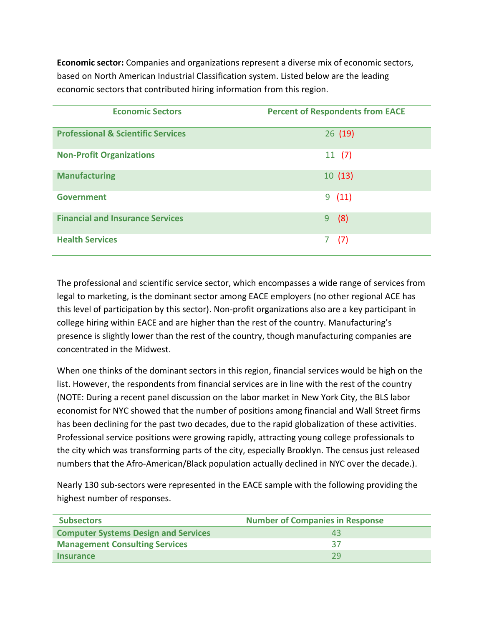**Economic sector:** Companies and organizations represent a diverse mix of economic sectors, based on North American Industrial Classification system. Listed below are the leading economic sectors that contributed hiring information from this region.

| <b>Economic Sectors</b>                       | <b>Percent of Respondents from EACE</b> |
|-----------------------------------------------|-----------------------------------------|
| <b>Professional &amp; Scientific Services</b> | 26(19)                                  |
| <b>Non-Profit Organizations</b>               | 11(7)                                   |
| <b>Manufacturing</b>                          | 10(13)                                  |
| <b>Government</b>                             | 9(11)                                   |
| <b>Financial and Insurance Services</b>       | (8)<br>9                                |
| <b>Health Services</b>                        | (7)                                     |

The professional and scientific service sector, which encompasses a wide range of services from legal to marketing, is the dominant sector among EACE employers (no other regional ACE has this level of participation by this sector). Non-profit organizations also are a key participant in college hiring within EACE and are higher than the rest of the country. Manufacturing's presence is slightly lower than the rest of the country, though manufacturing companies are concentrated in the Midwest.

When one thinks of the dominant sectors in this region, financial services would be high on the list. However, the respondents from financial services are in line with the rest of the country (NOTE: During a recent panel discussion on the labor market in New York City, the BLS labor economist for NYC showed that the number of positions among financial and Wall Street firms has been declining for the past two decades, due to the rapid globalization of these activities. Professional service positions were growing rapidly, attracting young college professionals to the city which was transforming parts of the city, especially Brooklyn. The census just released numbers that the Afro-American/Black population actually declined in NYC over the decade.).

Nearly 130 sub-sectors were represented in the EACE sample with the following providing the highest number of responses.

| <b>Subsectors</b>                           | <b>Number of Companies in Response</b> |
|---------------------------------------------|----------------------------------------|
| <b>Computer Systems Design and Services</b> | 43                                     |
| <b>Management Consulting Services</b>       | 37                                     |
| <b>Insurance</b>                            | つり                                     |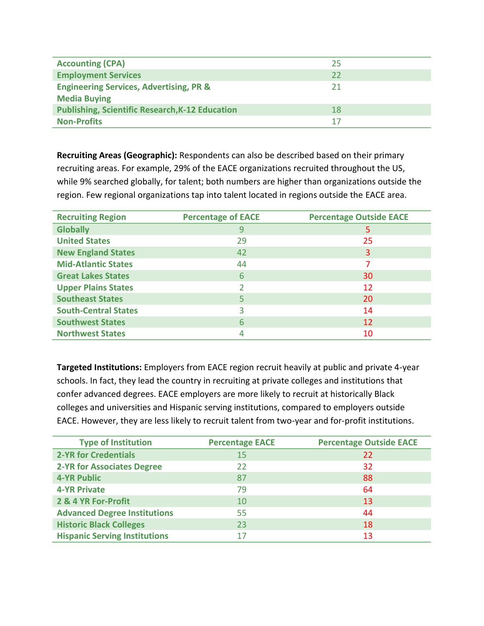| <b>Accounting (CPA)</b>                                                   | 25 |
|---------------------------------------------------------------------------|----|
| <b>Employment Services</b>                                                | 22 |
| <b>Engineering Services, Advertising, PR &amp;</b><br><b>Media Buying</b> | 21 |
| <b>Publishing, Scientific Research, K-12 Education</b>                    | 18 |
| <b>Non-Profits</b>                                                        | 17 |

**Recruiting Areas (Geographic):** Respondents can also be described based on their primary recruiting areas. For example, 29% of the EACE organizations recruited throughout the US, while 9% searched globally, for talent; both numbers are higher than organizations outside the region. Few regional organizations tap into talent located in regions outside the EACE area.

| <b>Recruiting Region</b>    | <b>Percentage of EACE</b> | <b>Percentage Outside EACE</b> |
|-----------------------------|---------------------------|--------------------------------|
| <b>Globally</b>             | 9                         | 5                              |
| <b>United States</b>        | 29                        | 25                             |
| <b>New England States</b>   | 42                        | 3                              |
| <b>Mid-Atlantic States</b>  | 44                        |                                |
| <b>Great Lakes States</b>   | 6                         | 30                             |
| <b>Upper Plains States</b>  |                           | 12                             |
| <b>Southeast States</b>     |                           | 20                             |
| <b>South-Central States</b> | ੨                         | 14                             |
| <b>Southwest States</b>     | 6                         | 12                             |
| <b>Northwest States</b>     |                           | 10                             |

**Targeted Institutions:** Employers from EACE region recruit heavily at public and private 4-year schools. In fact, they lead the country in recruiting at private colleges and institutions that confer advanced degrees. EACE employers are more likely to recruit at historically Black colleges and universities and Hispanic serving institutions, compared to employers outside EACE. However, they are less likely to recruit talent from two-year and for-profit institutions.

| <b>Type of Institution</b>           | <b>Percentage EACE</b> | <b>Percentage Outside EACE</b> |
|--------------------------------------|------------------------|--------------------------------|
| <b>2-YR for Credentials</b>          | 15                     | 22                             |
| <b>2-YR for Associates Degree</b>    | 22                     | 32                             |
| <b>4-YR Public</b>                   | 87                     | 88                             |
| <b>4-YR Private</b>                  | 79                     | 64                             |
| 2 & 4 YR For-Profit                  | 10                     | 13                             |
| <b>Advanced Degree Institutions</b>  | 55                     | 44                             |
| <b>Historic Black Colleges</b>       | 23                     | 18                             |
| <b>Hispanic Serving Institutions</b> | 17                     | 13                             |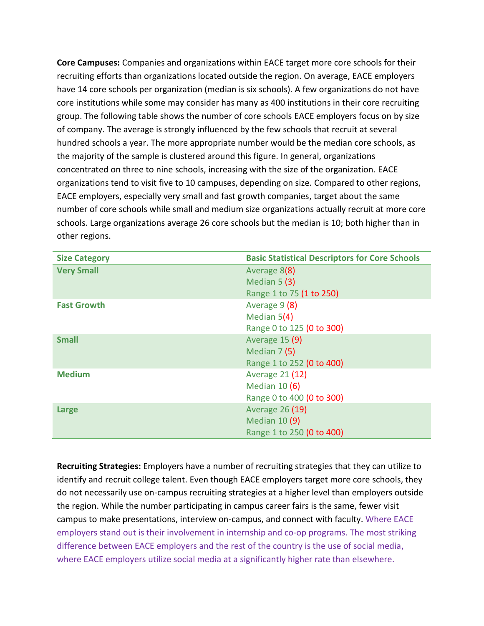**Core Campuses:** Companies and organizations within EACE target more core schools for their recruiting efforts than organizations located outside the region. On average, EACE employers have 14 core schools per organization (median is six schools). A few organizations do not have core institutions while some may consider has many as 400 institutions in their core recruiting group. The following table shows the number of core schools EACE employers focus on by size of company. The average is strongly influenced by the few schools that recruit at several hundred schools a year. The more appropriate number would be the median core schools, as the majority of the sample is clustered around this figure. In general, organizations concentrated on three to nine schools, increasing with the size of the organization. EACE organizations tend to visit five to 10 campuses, depending on size. Compared to other regions, EACE employers, especially very small and fast growth companies, target about the same number of core schools while small and medium size organizations actually recruit at more core schools. Large organizations average 26 core schools but the median is 10; both higher than in other regions.

| <b>Size Category</b> | <b>Basic Statistical Descriptors for Core Schools</b> |
|----------------------|-------------------------------------------------------|
| <b>Very Small</b>    | Average 8(8)                                          |
|                      | Median $5(3)$                                         |
|                      | Range 1 to 75 (1 to 250)                              |
| <b>Fast Growth</b>   | Average 9 (8)                                         |
|                      | Median $5(4)$                                         |
|                      | Range 0 to 125 (0 to 300)                             |
| <b>Small</b>         | Average 15 (9)                                        |
|                      | Median 7(5)                                           |
|                      | Range 1 to 252 (0 to 400)                             |
| <b>Medium</b>        | Average 21 (12)                                       |
|                      | Median $10(6)$                                        |
|                      | Range 0 to 400 (0 to 300)                             |
| Large                | Average 26 (19)                                       |
|                      | Median 10 (9)                                         |
|                      | Range 1 to 250 (0 to 400)                             |

**Recruiting Strategies:** Employers have a number of recruiting strategies that they can utilize to identify and recruit college talent. Even though EACE employers target more core schools, they do not necessarily use on-campus recruiting strategies at a higher level than employers outside the region. While the number participating in campus career fairs is the same, fewer visit campus to make presentations, interview on-campus, and connect with faculty. Where EACE employers stand out is their involvement in internship and co-op programs. The most striking difference between EACE employers and the rest of the country is the use of social media, where EACE employers utilize social media at a significantly higher rate than elsewhere.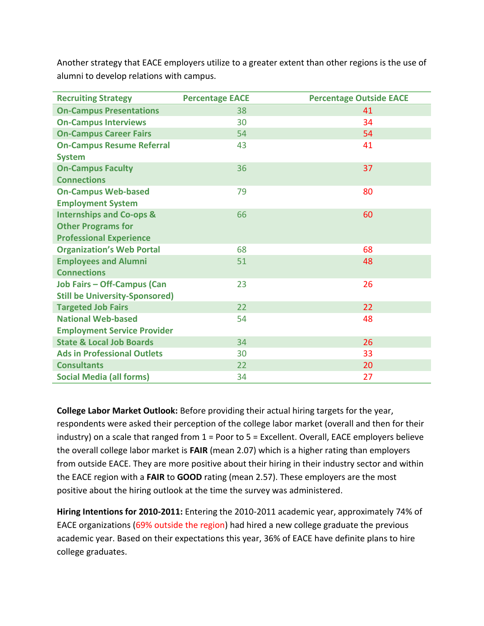Another strategy that EACE employers utilize to a greater extent than other regions is the use of alumni to develop relations with campus.

| <b>Recruiting Strategy</b>            | <b>Percentage EACE</b> | <b>Percentage Outside EACE</b> |
|---------------------------------------|------------------------|--------------------------------|
| <b>On-Campus Presentations</b>        | 38                     | 41                             |
| <b>On-Campus Interviews</b>           | 30                     | 34                             |
| <b>On-Campus Career Fairs</b>         | 54                     | 54                             |
| <b>On-Campus Resume Referral</b>      | 43                     | 41                             |
| <b>System</b>                         |                        |                                |
| <b>On-Campus Faculty</b>              | 36                     | 37                             |
| <b>Connections</b>                    |                        |                                |
| <b>On-Campus Web-based</b>            | 79                     | 80                             |
| <b>Employment System</b>              |                        |                                |
| <b>Internships and Co-ops &amp;</b>   | 66                     | 60                             |
| <b>Other Programs for</b>             |                        |                                |
| <b>Professional Experience</b>        |                        |                                |
| <b>Organization's Web Portal</b>      | 68                     | 68                             |
| <b>Employees and Alumni</b>           | 51                     | 48                             |
| <b>Connections</b>                    |                        |                                |
| <b>Job Fairs - Off-Campus (Can</b>    | 23                     | 26                             |
| <b>Still be University-Sponsored)</b> |                        |                                |
| <b>Targeted Job Fairs</b>             | 22                     | 22                             |
| <b>National Web-based</b>             | 54                     | 48                             |
| <b>Employment Service Provider</b>    |                        |                                |
| <b>State &amp; Local Job Boards</b>   | 34                     | 26                             |
| <b>Ads in Professional Outlets</b>    | 30                     | 33                             |
| <b>Consultants</b>                    | 22                     | 20                             |
| <b>Social Media (all forms)</b>       | 34                     | 27                             |

**College Labor Market Outlook:** Before providing their actual hiring targets for the year, respondents were asked their perception of the college labor market (overall and then for their industry) on a scale that ranged from 1 = Poor to 5 = Excellent. Overall, EACE employers believe the overall college labor market is **FAIR** (mean 2.07) which is a higher rating than employers from outside EACE. They are more positive about their hiring in their industry sector and within the EACE region with a **FAIR** to **GOOD** rating (mean 2.57). These employers are the most positive about the hiring outlook at the time the survey was administered.

**Hiring Intentions for 2010-2011:** Entering the 2010-2011 academic year, approximately 74% of EACE organizations (69% outside the region) had hired a new college graduate the previous academic year. Based on their expectations this year, 36% of EACE have definite plans to hire college graduates.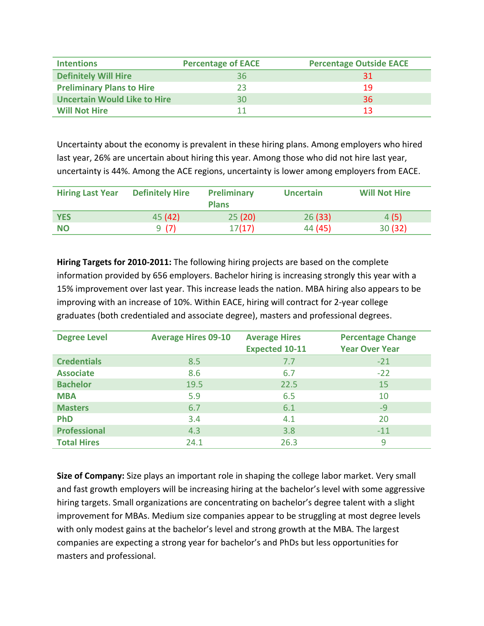| <b>Intentions</b>                   | <b>Percentage of EACE</b> | <b>Percentage Outside EACE</b> |
|-------------------------------------|---------------------------|--------------------------------|
| <b>Definitely Will Hire</b>         | 36                        | 31                             |
| <b>Preliminary Plans to Hire</b>    | フ3                        | 19                             |
| <b>Uncertain Would Like to Hire</b> | 30                        | 36                             |
| <b>Will Not Hire</b>                |                           | 13                             |

Uncertainty about the economy is prevalent in these hiring plans. Among employers who hired last year, 26% are uncertain about hiring this year. Among those who did not hire last year, uncertainty is 44%. Among the ACE regions, uncertainty is lower among employers from EACE.

| <b>Hiring Last Year</b> | <b>Definitely Hire</b> | Preliminary<br><b>Plans</b> | <b>Uncertain</b> | <b>Will Not Hire</b> |
|-------------------------|------------------------|-----------------------------|------------------|----------------------|
| <b>YES</b>              | 45 (42)                | 25(20)                      | 26(33)           | 4(5)                 |
| <b>NO</b>               | 9 (7)                  | 17(17)                      | 44 (45)          | 30(32)               |

**Hiring Targets for 2010-2011:** The following hiring projects are based on the complete information provided by 656 employers. Bachelor hiring is increasing strongly this year with a 15% improvement over last year. This increase leads the nation. MBA hiring also appears to be improving with an increase of 10%. Within EACE, hiring will contract for 2-year college graduates (both credentialed and associate degree), masters and professional degrees.

| <b>Degree Level</b> | <b>Average Hires 09-10</b> | <b>Average Hires</b><br><b>Expected 10-11</b> | <b>Percentage Change</b><br><b>Year Over Year</b> |
|---------------------|----------------------------|-----------------------------------------------|---------------------------------------------------|
| <b>Credentials</b>  | 8.5                        | 7.7                                           | $-21$                                             |
| <b>Associate</b>    | 8.6                        | 6.7                                           | $-22$                                             |
| <b>Bachelor</b>     | 19.5                       | 22.5                                          | 15                                                |
| <b>MBA</b>          | 5.9                        | 6.5                                           | 10                                                |
| <b>Masters</b>      | 6.7                        | 6.1                                           | $-9$                                              |
| PhD                 | 3.4                        | 4.1                                           | 20                                                |
| <b>Professional</b> | 4.3                        | 3.8                                           | $-11$                                             |
| <b>Total Hires</b>  | 24.1                       | 26.3                                          | 9                                                 |

**Size of Company:** Size plays an important role in shaping the college labor market. Very small and fast growth employers will be increasing hiring at the bachelor's level with some aggressive hiring targets. Small organizations are concentrating on bachelor's degree talent with a slight improvement for MBAs. Medium size companies appear to be struggling at most degree levels with only modest gains at the bachelor's level and strong growth at the MBA. The largest companies are expecting a strong year for bachelor's and PhDs but less opportunities for masters and professional.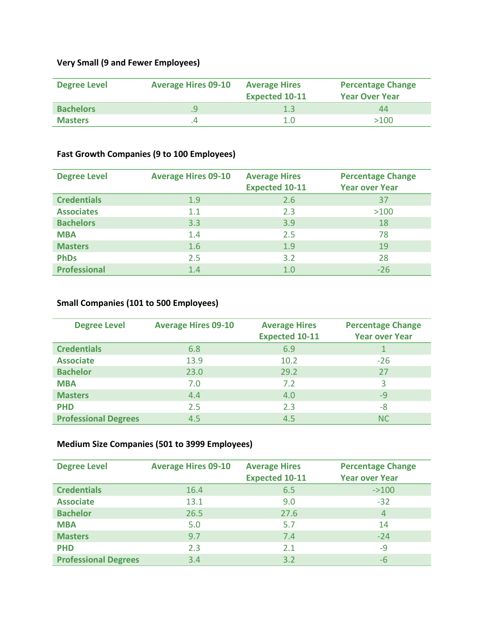# **Very Small (9 and Fewer Employees)**

| <b>Degree Level</b> | <b>Average Hires 09-10</b> | <b>Average Hires</b><br><b>Expected 10-11</b> | <b>Percentage Change</b><br><b>Year Over Year</b> |
|---------------------|----------------------------|-----------------------------------------------|---------------------------------------------------|
| <b>Bachelors</b>    |                            | 1.3                                           | 44                                                |
| <b>Masters</b>      |                            | 1.0                                           | >100                                              |

# **Fast Growth Companies (9 to 100 Employees)**

| <b>Degree Level</b> | <b>Average Hires 09-10</b> | <b>Average Hires</b><br><b>Expected 10-11</b> | <b>Percentage Change</b><br><b>Year over Year</b> |
|---------------------|----------------------------|-----------------------------------------------|---------------------------------------------------|
| <b>Credentials</b>  | 1.9                        | 2.6                                           | 37                                                |
| <b>Associates</b>   | 1.1                        | 2.3                                           | >100                                              |
| <b>Bachelors</b>    | 3.3                        | 3.9                                           | 18                                                |
| <b>MBA</b>          | 1.4                        | 2.5                                           | 78                                                |
| <b>Masters</b>      | 1.6                        | 1.9                                           | 19                                                |
| <b>PhDs</b>         | 2.5                        | 3.2                                           | 28                                                |
| <b>Professional</b> | 1.4                        | 1.0                                           | $-26$                                             |

# **Small Companies (101 to 500 Employees)**

| <b>Degree Level</b>         | <b>Average Hires 09-10</b> | <b>Average Hires</b><br><b>Expected 10-11</b> | <b>Percentage Change</b><br><b>Year over Year</b> |
|-----------------------------|----------------------------|-----------------------------------------------|---------------------------------------------------|
| <b>Credentials</b>          | 6.8                        | 6.9                                           |                                                   |
| <b>Associate</b>            | 13.9                       | 10.2                                          | $-26$                                             |
| <b>Bachelor</b>             | 23.0                       | 29.2                                          | 27                                                |
| <b>MBA</b>                  | 7.0                        | 7.2                                           |                                                   |
| <b>Masters</b>              | 4.4                        | 4.0                                           | $-9$                                              |
| <b>PHD</b>                  | 2.5                        | 2.3                                           | -8                                                |
| <b>Professional Degrees</b> | 4.5                        | 4.5                                           | <b>NC</b>                                         |

### **Medium Size Companies (501 to 3999 Employees)**

| <b>Degree Level</b>         | <b>Average Hires 09-10</b> | <b>Average Hires</b><br><b>Expected 10-11</b> | <b>Percentage Change</b><br><b>Year over Year</b> |
|-----------------------------|----------------------------|-----------------------------------------------|---------------------------------------------------|
| <b>Credentials</b>          | 16.4                       | 6.5                                           | $-2100$                                           |
| <b>Associate</b>            | 13.1                       | 9.0                                           | $-32$                                             |
| <b>Bachelor</b>             | 26.5                       | 27.6                                          | 4                                                 |
| <b>MBA</b>                  | 5.0                        | 5.7                                           | 14                                                |
| <b>Masters</b>              | 9.7                        | 7.4                                           | $-24$                                             |
| <b>PHD</b>                  | 2.3                        | 2.1                                           | $-9$                                              |
| <b>Professional Degrees</b> | 3.4                        | 3.2                                           | -6                                                |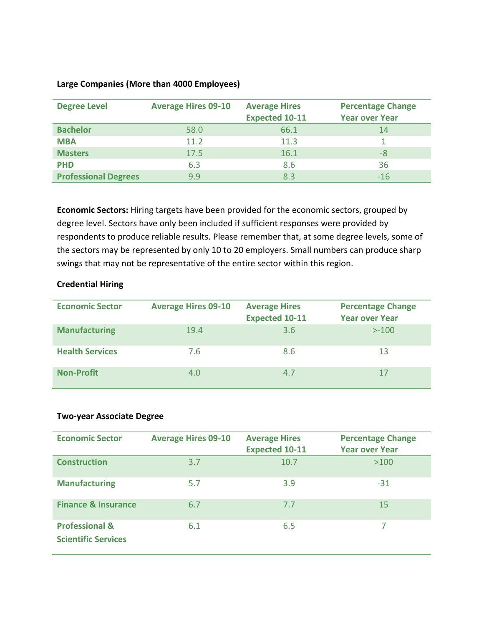#### **Large Companies (More than 4000 Employees)**

| <b>Degree Level</b>         | <b>Average Hires 09-10</b> | <b>Average Hires</b><br><b>Expected 10-11</b> | <b>Percentage Change</b><br><b>Year over Year</b> |
|-----------------------------|----------------------------|-----------------------------------------------|---------------------------------------------------|
| <b>Bachelor</b>             | 58.0                       | 66.1                                          | 14                                                |
| <b>MBA</b>                  | 11.2                       | 11.3                                          |                                                   |
| <b>Masters</b>              | 17.5                       | 16.1                                          | -8                                                |
| <b>PHD</b>                  | 6.3                        | 8.6                                           | 36                                                |
| <b>Professional Degrees</b> | 9.9                        | 8.3                                           | $-16$                                             |

**Economic Sectors:** Hiring targets have been provided for the economic sectors, grouped by degree level. Sectors have only been included if sufficient responses were provided by respondents to produce reliable results. Please remember that, at some degree levels, some of the sectors may be represented by only 10 to 20 employers. Small numbers can produce sharp swings that may not be representative of the entire sector within this region.

#### **Credential Hiring**

| <b>Economic Sector</b> | <b>Average Hires 09-10</b> | <b>Average Hires</b><br><b>Expected 10-11</b> | <b>Percentage Change</b><br><b>Year over Year</b> |
|------------------------|----------------------------|-----------------------------------------------|---------------------------------------------------|
| <b>Manufacturing</b>   | 19.4                       | 3.6                                           | $> -100$                                          |
| <b>Health Services</b> | 7.6                        | 8.6                                           | 13                                                |
| <b>Non-Profit</b>      | 4.0                        | 4.7                                           |                                                   |

#### **Two-year Associate Degree**

| <b>Economic Sector</b>                                  | <b>Average Hires 09-10</b> | <b>Average Hires</b><br><b>Expected 10-11</b> | <b>Percentage Change</b><br><b>Year over Year</b> |
|---------------------------------------------------------|----------------------------|-----------------------------------------------|---------------------------------------------------|
| <b>Construction</b>                                     | 3.7                        | 10.7                                          | >100                                              |
| <b>Manufacturing</b>                                    | 5.7                        | 3.9                                           | $-31$                                             |
| <b>Finance &amp; Insurance</b>                          | 6.7                        | 7.7                                           | 15                                                |
| <b>Professional &amp;</b><br><b>Scientific Services</b> | 6.1                        | 6.5                                           |                                                   |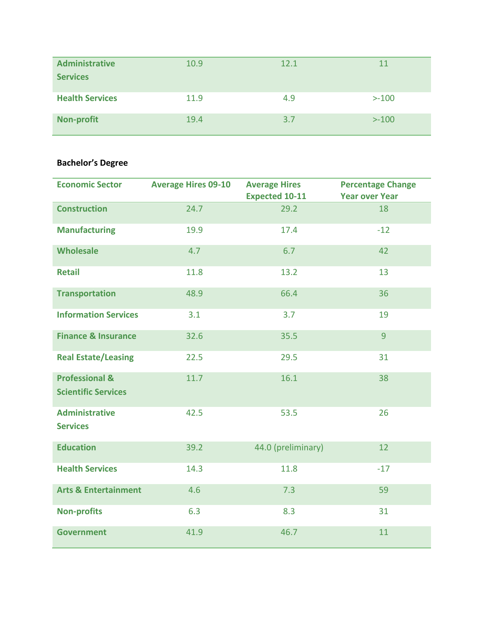| <b>Administrative</b><br><b>Services</b> | 10.9 | 12.1 | 11       |
|------------------------------------------|------|------|----------|
| <b>Health Services</b>                   | 11.9 | 4.9  | $> -100$ |
| <b>Non-profit</b>                        | 19.4 | 3.7  | $> -100$ |

# **Bachelor's Degree**

| <b>Economic Sector</b>                                  | <b>Average Hires 09-10</b> | <b>Average Hires</b><br><b>Expected 10-11</b> | <b>Percentage Change</b><br><b>Year over Year</b> |
|---------------------------------------------------------|----------------------------|-----------------------------------------------|---------------------------------------------------|
| <b>Construction</b>                                     | 24.7                       | 29.2                                          | 18                                                |
| <b>Manufacturing</b>                                    | 19.9                       | 17.4                                          | $-12$                                             |
| <b>Wholesale</b>                                        | 4.7                        | 6.7                                           | 42                                                |
| <b>Retail</b>                                           | 11.8                       | 13.2                                          | 13                                                |
| <b>Transportation</b>                                   | 48.9                       | 66.4                                          | 36                                                |
| <b>Information Services</b>                             | 3.1                        | 3.7                                           | 19                                                |
| <b>Finance &amp; Insurance</b>                          | 32.6                       | 35.5                                          | 9                                                 |
| <b>Real Estate/Leasing</b>                              | 22.5                       | 29.5                                          | 31                                                |
| <b>Professional &amp;</b><br><b>Scientific Services</b> | 11.7                       | 16.1                                          | 38                                                |
| <b>Administrative</b><br><b>Services</b>                | 42.5                       | 53.5                                          | 26                                                |
| <b>Education</b>                                        | 39.2                       | 44.0 (preliminary)                            | 12                                                |
| <b>Health Services</b>                                  | 14.3                       | 11.8                                          | $-17$                                             |
| <b>Arts &amp; Entertainment</b>                         | 4.6                        | 7.3                                           | 59                                                |
| <b>Non-profits</b>                                      | 6.3                        | 8.3                                           | 31                                                |
| <b>Government</b>                                       | 41.9                       | 46.7                                          | 11                                                |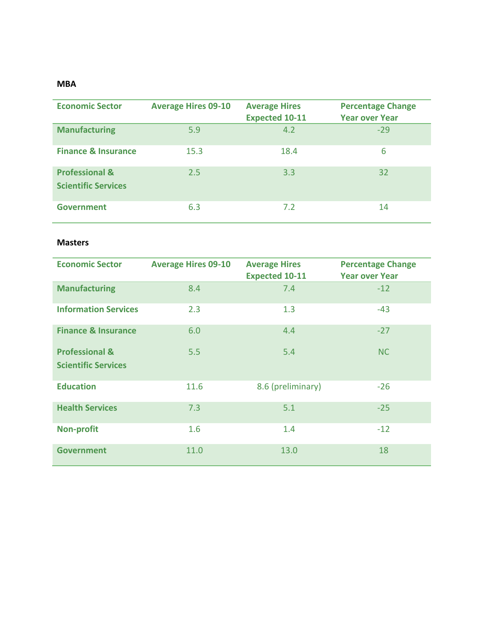#### **MBA**

| <b>Economic Sector</b>                                  | <b>Average Hires 09-10</b> | <b>Average Hires</b><br><b>Expected 10-11</b> | <b>Percentage Change</b><br><b>Year over Year</b> |
|---------------------------------------------------------|----------------------------|-----------------------------------------------|---------------------------------------------------|
| <b>Manufacturing</b>                                    | 5.9                        | 4.2                                           | $-29$                                             |
| <b>Finance &amp; Insurance</b>                          | 15.3                       | 18.4                                          | 6                                                 |
| <b>Professional &amp;</b><br><b>Scientific Services</b> | 2.5                        | 3.3                                           | 32                                                |
| <b>Government</b>                                       | 6.3                        | 7.2                                           | 14                                                |

#### **Masters**

| <b>Economic Sector</b>         | <b>Average Hires 09-10</b> | <b>Average Hires</b><br><b>Expected 10-11</b> | <b>Percentage Change</b><br><b>Year over Year</b> |
|--------------------------------|----------------------------|-----------------------------------------------|---------------------------------------------------|
| <b>Manufacturing</b>           | 8.4                        | 7.4                                           | $-12$                                             |
| <b>Information Services</b>    | 2.3                        | 1.3                                           | $-43$                                             |
| <b>Finance &amp; Insurance</b> | 6.0                        | 4.4                                           | $-27$                                             |
| <b>Professional &amp;</b>      | 5.5                        | 5.4                                           | <b>NC</b>                                         |
| <b>Scientific Services</b>     |                            |                                               |                                                   |
| <b>Education</b>               | 11.6                       | 8.6 (preliminary)                             | $-26$                                             |
| <b>Health Services</b>         | 7.3                        | 5.1                                           | $-25$                                             |
| <b>Non-profit</b>              | 1.6                        | 1.4                                           | $-12$                                             |
| <b>Government</b>              | 11.0                       | 13.0                                          | 18                                                |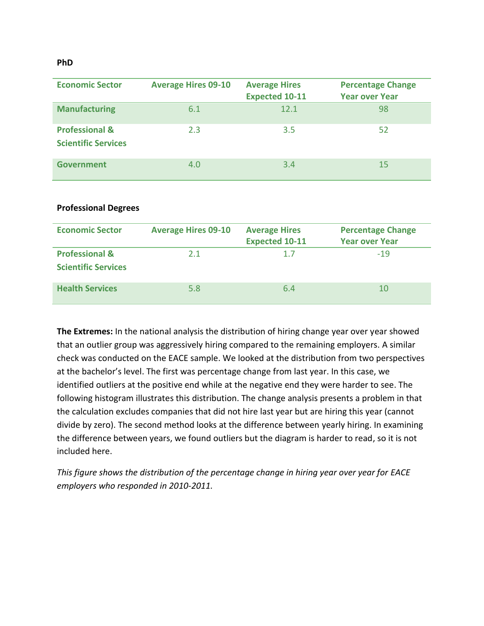#### **PhD**

| <b>Economic Sector</b>                                  | <b>Average Hires 09-10</b> | <b>Average Hires</b><br><b>Expected 10-11</b> | <b>Percentage Change</b><br><b>Year over Year</b> |
|---------------------------------------------------------|----------------------------|-----------------------------------------------|---------------------------------------------------|
| <b>Manufacturing</b>                                    | 6.1                        | 12.1                                          | 98                                                |
| <b>Professional &amp;</b><br><b>Scientific Services</b> | 2.3                        | 3.5                                           | 52                                                |
| Government                                              | 4.0                        | 3.4                                           | 15                                                |

#### **Professional Degrees**

| <b>Economic Sector</b>                                  | <b>Average Hires 09-10</b> | <b>Average Hires</b><br><b>Expected 10-11</b> | <b>Percentage Change</b><br><b>Year over Year</b> |
|---------------------------------------------------------|----------------------------|-----------------------------------------------|---------------------------------------------------|
| <b>Professional &amp;</b><br><b>Scientific Services</b> | 2.1                        | 1.7                                           | $-19$                                             |
| <b>Health Services</b>                                  | 5.8                        | 6.4                                           | 10                                                |

**The Extremes:** In the national analysis the distribution of hiring change year over year showed that an outlier group was aggressively hiring compared to the remaining employers. A similar check was conducted on the EACE sample. We looked at the distribution from two perspectives at the bachelor's level. The first was percentage change from last year. In this case, we identified outliers at the positive end while at the negative end they were harder to see. The following histogram illustrates this distribution. The change analysis presents a problem in that the calculation excludes companies that did not hire last year but are hiring this year (cannot divide by zero). The second method looks at the difference between yearly hiring. In examining the difference between years, we found outliers but the diagram is harder to read, so it is not included here.

*This figure shows the distribution of the percentage change in hiring year over year for EACE employers who responded in 2010-2011.*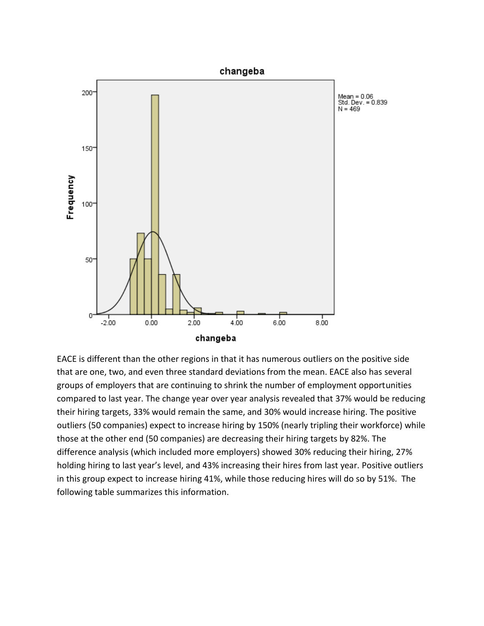

EACE is different than the other regions in that it has numerous outliers on the positive side that are one, two, and even three standard deviations from the mean. EACE also has several groups of employers that are continuing to shrink the number of employment opportunities compared to last year. The change year over year analysis revealed that 37% would be reducing their hiring targets, 33% would remain the same, and 30% would increase hiring. The positive outliers (50 companies) expect to increase hiring by 150% (nearly tripling their workforce) while those at the other end (50 companies) are decreasing their hiring targets by 82%. The difference analysis (which included more employers) showed 30% reducing their hiring, 27% holding hiring to last year's level, and 43% increasing their hires from last year. Positive outliers in this group expect to increase hiring 41%, while those reducing hires will do so by 51%. The following table summarizes this information.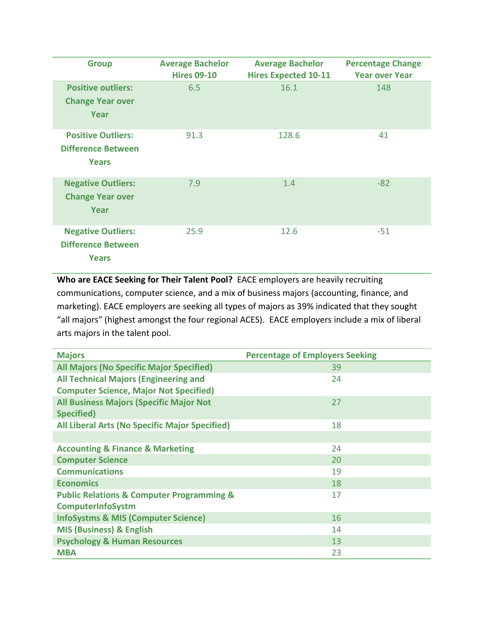| <b>Group</b>                                                           | <b>Average Bachelor</b><br><b>Hires 09-10</b> | <b>Average Bachelor</b><br><b>Hires Expected 10-11</b> | <b>Percentage Change</b><br><b>Year over Year</b> |
|------------------------------------------------------------------------|-----------------------------------------------|--------------------------------------------------------|---------------------------------------------------|
| <b>Positive outliers:</b><br><b>Change Year over</b><br>Year           | 6.5                                           | 16.1                                                   | 148                                               |
| <b>Positive Outliers:</b><br><b>Difference Between</b><br><b>Years</b> | 91.3                                          | 128.6                                                  | 41                                                |
| <b>Negative Outliers:</b><br><b>Change Year over</b><br>Year           | 7.9                                           | 1.4                                                    | $-82$                                             |
| <b>Negative Outliers:</b><br><b>Difference Between</b><br><b>Years</b> | 25.9                                          | 12.6                                                   | $-51$                                             |

**Who are EACE Seeking for Their Talent Pool?** EACE employers are heavily recruiting communications, computer science, and a mix of business majors (accounting, finance, and marketing). EACE employers are seeking all types of majors as 39% indicated that they sought "all majors" (highest amongst the four regional ACES). EACE employers include a mix of liberal arts majors in the talent pool.

| <b>Majors</b>                                            | <b>Percentage of Employers Seeking</b> |
|----------------------------------------------------------|----------------------------------------|
| <b>All Majors (No Specific Major Specified)</b>          | 39                                     |
| <b>All Technical Majors (Engineering and</b>             | 24                                     |
| <b>Computer Science, Major Not Specified)</b>            |                                        |
| <b>All Business Majors (Specific Major Not</b>           | 27                                     |
| Specified)                                               |                                        |
| <b>All Liberal Arts (No Specific Major Specified)</b>    | 18                                     |
|                                                          |                                        |
| <b>Accounting &amp; Finance &amp; Marketing</b>          | 24                                     |
| <b>Computer Science</b>                                  | 20                                     |
| <b>Communications</b>                                    | 19                                     |
| <b>Economics</b>                                         | 18                                     |
| <b>Public Relations &amp; Computer Programming &amp;</b> | 17                                     |
| <b>ComputerInfoSystm</b>                                 |                                        |
| <b>InfoSystms &amp; MIS (Computer Science)</b>           | 16                                     |
| <b>MIS (Business) &amp; English</b>                      | 14                                     |
| <b>Psychology &amp; Human Resources</b>                  | 13                                     |
| <b>MBA</b>                                               | 23                                     |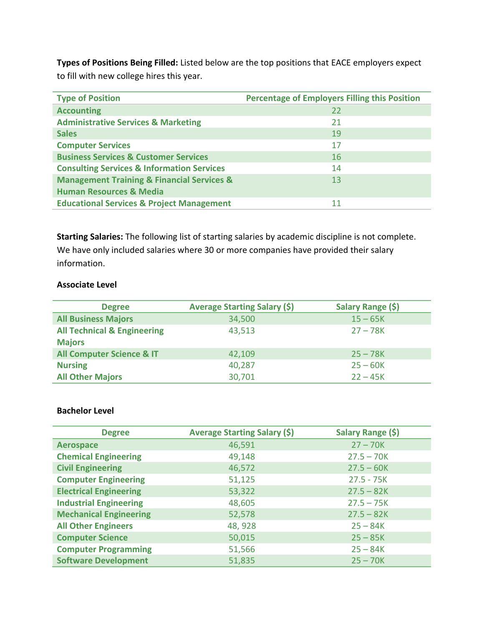**Types of Positions Being Filled:** Listed below are the top positions that EACE employers expect to fill with new college hires this year.

| <b>Type of Position</b>                                   | <b>Percentage of Employers Filling this Position</b> |
|-----------------------------------------------------------|------------------------------------------------------|
| <b>Accounting</b>                                         | 22                                                   |
| <b>Administrative Services &amp; Marketing</b>            | 21                                                   |
| <b>Sales</b>                                              | 19                                                   |
| <b>Computer Services</b>                                  | 17                                                   |
| <b>Business Services &amp; Customer Services</b>          | 16                                                   |
| <b>Consulting Services &amp; Information Services</b>     | 14                                                   |
| <b>Management Training &amp; Financial Services &amp;</b> | 13                                                   |
| <b>Human Resources &amp; Media</b>                        |                                                      |
| <b>Educational Services &amp; Project Management</b>      | 11                                                   |

**Starting Salaries:** The following list of starting salaries by academic discipline is not complete. We have only included salaries where 30 or more companies have provided their salary information.

#### **Associate Level**

| <b>Degree</b>                                           | <b>Average Starting Salary (\$)</b> | Salary Range (\$) |
|---------------------------------------------------------|-------------------------------------|-------------------|
| <b>All Business Majors</b>                              | 34,500                              | $15 - 65K$        |
| <b>All Technical &amp; Engineering</b><br><b>Majors</b> | 43,513                              | $27 - 78K$        |
| <b>All Computer Science &amp; IT</b>                    | 42,109                              | $25 - 78K$        |
| <b>Nursing</b>                                          | 40,287                              | $25 - 60K$        |
| <b>All Other Majors</b>                                 | 30,701                              | $22 - 45K$        |

#### **Bachelor Level**

| <b>Degree</b>                 | <b>Average Starting Salary (\$)</b> | Salary Range (\$) |
|-------------------------------|-------------------------------------|-------------------|
| <b>Aerospace</b>              | 46,591                              | $27 - 70K$        |
| <b>Chemical Engineering</b>   | 49,148                              | $27.5 - 70K$      |
| <b>Civil Engineering</b>      | 46,572                              | $27.5 - 60K$      |
| <b>Computer Engineering</b>   | 51,125                              | $27.5 - 75K$      |
| <b>Electrical Engineering</b> | 53,322                              | $27.5 - 82K$      |
| <b>Industrial Engineering</b> | 48,605                              | $27.5 - 75K$      |
| <b>Mechanical Engineering</b> | 52,578                              | $27.5 - 82K$      |
| <b>All Other Engineers</b>    | 48, 928                             | $25 - 84K$        |
| <b>Computer Science</b>       | 50,015                              | $25 - 85K$        |
| <b>Computer Programming</b>   | 51,566                              | $25 - 84K$        |
| <b>Software Development</b>   | 51,835                              | $25 - 70K$        |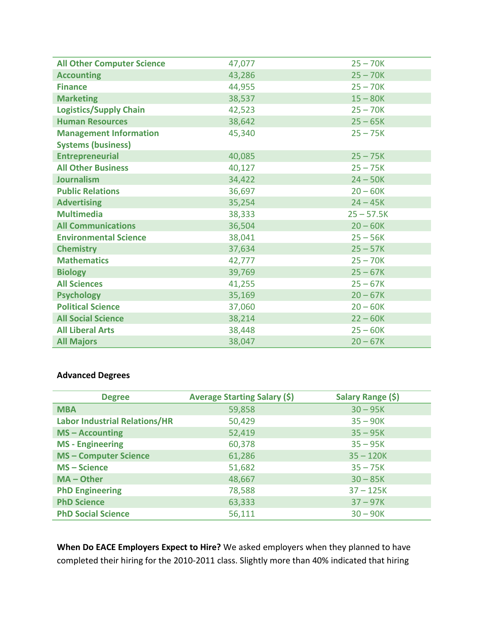| <b>All Other Computer Science</b> | 47,077 | $25 - 70K$   |
|-----------------------------------|--------|--------------|
| <b>Accounting</b>                 | 43,286 | $25 - 70K$   |
| <b>Finance</b>                    | 44,955 | $25 - 70K$   |
| <b>Marketing</b>                  | 38,537 | $15 - 80K$   |
| <b>Logistics/Supply Chain</b>     | 42,523 | $25 - 70K$   |
| <b>Human Resources</b>            | 38,642 | $25 - 65K$   |
| <b>Management Information</b>     | 45,340 | $25 - 75K$   |
| <b>Systems (business)</b>         |        |              |
| <b>Entrepreneurial</b>            | 40,085 | $25 - 75K$   |
| <b>All Other Business</b>         | 40,127 | $25 - 75K$   |
| <b>Journalism</b>                 | 34,422 | $24 - 50K$   |
| <b>Public Relations</b>           | 36,697 | $20 - 60K$   |
| <b>Advertising</b>                | 35,254 | $24 - 45K$   |
| <b>Multimedia</b>                 | 38,333 | $25 - 57.5K$ |
| <b>All Communications</b>         | 36,504 | $20 - 60K$   |
| <b>Environmental Science</b>      | 38,041 | $25 - 56K$   |
| <b>Chemistry</b>                  | 37,634 | $25 - 57K$   |
| <b>Mathematics</b>                | 42,777 | $25 - 70K$   |
| <b>Biology</b>                    | 39,769 | $25 - 67K$   |
| <b>All Sciences</b>               | 41,255 | $25 - 67K$   |
| <b>Psychology</b>                 | 35,169 | $20 - 67K$   |
| <b>Political Science</b>          | 37,060 | $20 - 60K$   |
| <b>All Social Science</b>         | 38,214 | $22 - 60K$   |
| <b>All Liberal Arts</b>           | 38,448 | $25 - 60K$   |
| <b>All Majors</b>                 | 38,047 | $20 - 67K$   |

# **Advanced Degrees**

| <b>Degree</b>                        | Average Starting Salary (\$) | Salary Range (\$) |
|--------------------------------------|------------------------------|-------------------|
| <b>MBA</b>                           | 59,858                       | $30 - 95K$        |
| <b>Labor Industrial Relations/HR</b> | 50,429                       | $35 - 90K$        |
| $MS - According$                     | 52,419                       | $35 - 95K$        |
| <b>MS</b> - Engineering              | 60,378                       | $35 - 95K$        |
| <b>MS-Computer Science</b>           | 61,286                       | $35 - 120K$       |
| <b>MS-Science</b>                    | 51,682                       | $35 - 75K$        |
| MA - Other                           | 48,667                       | $30 - 85K$        |
| <b>PhD Engineering</b>               | 78,588                       | $37 - 125K$       |
| <b>PhD Science</b>                   | 63,333                       | $37 - 97K$        |
| <b>PhD Social Science</b>            | 56,111                       | $30 - 90K$        |

**When Do EACE Employers Expect to Hire?** We asked employers when they planned to have completed their hiring for the 2010-2011 class. Slightly more than 40% indicated that hiring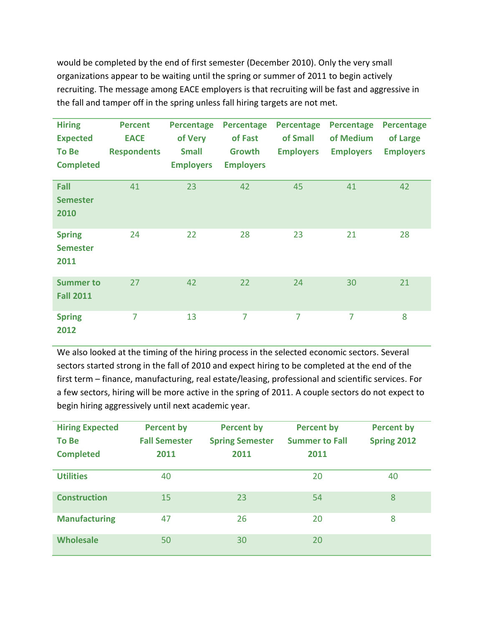would be completed by the end of first semester (December 2010). Only the very small organizations appear to be waiting until the spring or summer of 2011 to begin actively recruiting. The message among EACE employers is that recruiting will be fast and aggressive in the fall and tamper off in the spring unless fall hiring targets are not met.

| <b>Hiring</b><br><b>Expected</b><br>To Be<br><b>Completed</b> | <b>Percent</b><br><b>EACE</b><br><b>Respondents</b> | <b>Percentage</b><br>of Very<br><b>Small</b><br><b>Employers</b> | <b>Percentage</b><br>of Fast<br>Growth<br><b>Employers</b> | <b>Percentage</b><br>of Small<br><b>Employers</b> | <b>Percentage</b><br>of Medium<br><b>Employers</b> | <b>Percentage</b><br>of Large<br><b>Employers</b> |
|---------------------------------------------------------------|-----------------------------------------------------|------------------------------------------------------------------|------------------------------------------------------------|---------------------------------------------------|----------------------------------------------------|---------------------------------------------------|
| <b>Fall</b><br><b>Semester</b><br>2010                        | 41                                                  | 23                                                               | 42                                                         | 45                                                | 41                                                 | 42                                                |
| <b>Spring</b><br><b>Semester</b><br>2011                      | 24                                                  | 22                                                               | 28                                                         | 23                                                | 21                                                 | 28                                                |
| <b>Summer to</b><br><b>Fall 2011</b>                          | 27                                                  | 42                                                               | 22                                                         | 24                                                | 30                                                 | 21                                                |
| <b>Spring</b><br>2012                                         | $\overline{7}$                                      | 13                                                               | $\overline{7}$                                             | $\overline{7}$                                    | $\overline{7}$                                     | 8                                                 |

We also looked at the timing of the hiring process in the selected economic sectors. Several sectors started strong in the fall of 2010 and expect hiring to be completed at the end of the first term – finance, manufacturing, real estate/leasing, professional and scientific services. For a few sectors, hiring will be more active in the spring of 2011. A couple sectors do not expect to begin hiring aggressively until next academic year.

| <b>Hiring Expected</b><br><b>To Be</b><br><b>Completed</b> | <b>Percent by</b><br><b>Fall Semester</b><br>2011 | <b>Percent by</b><br><b>Spring Semester</b><br>2011 | <b>Percent by</b><br><b>Summer to Fall</b><br>2011 | <b>Percent by</b><br><b>Spring 2012</b> |
|------------------------------------------------------------|---------------------------------------------------|-----------------------------------------------------|----------------------------------------------------|-----------------------------------------|
| <b>Utilities</b>                                           | 40                                                |                                                     | 20                                                 | 40                                      |
| <b>Construction</b>                                        | 15                                                | 23                                                  | 54                                                 | 8                                       |
| <b>Manufacturing</b>                                       | 47                                                | 26                                                  | 20                                                 | 8                                       |
| <b>Wholesale</b>                                           | 50                                                | 30                                                  | 20                                                 |                                         |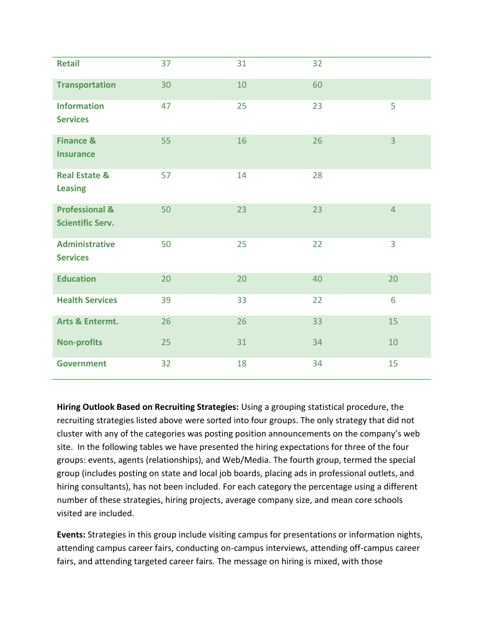| <b>Retail</b>                                        | 37 | 31 | 32 |                |
|------------------------------------------------------|----|----|----|----------------|
| <b>Transportation</b>                                | 30 | 10 | 60 |                |
| <b>Information</b><br><b>Services</b>                | 47 | 25 | 23 | 5              |
| <b>Finance &amp;</b><br><b>Insurance</b>             | 55 | 16 | 26 | $\overline{3}$ |
| <b>Real Estate &amp;</b><br><b>Leasing</b>           | 57 | 14 | 28 |                |
| <b>Professional &amp;</b><br><b>Scientific Serv.</b> | 50 | 23 | 23 | $\overline{4}$ |
| <b>Administrative</b><br><b>Services</b>             | 50 | 25 | 22 | 3              |
| <b>Education</b>                                     | 20 | 20 | 40 | 20             |
| <b>Health Services</b>                               | 39 | 33 | 22 | 6              |
| <b>Arts &amp; Entermt.</b>                           | 26 | 26 | 33 | 15             |
| <b>Non-profits</b>                                   | 25 | 31 | 34 | 10             |
| <b>Government</b>                                    | 32 | 18 | 34 | 15             |

**Hiring Outlook Based on Recruiting Strategies:** Using a grouping statistical procedure, the recruiting strategies listed above were sorted into four groups. The only strategy that did not cluster with any of the categories was posting position announcements on the company's web site. In the following tables we have presented the hiring expectations for three of the four groups: events, agents (relationships), and Web/Media. The fourth group, termed the special group (includes posting on state and local job boards, placing ads in professional outlets, and hiring consultants), has not been included. For each category the percentage using a different number of these strategies, hiring projects, average company size, and mean core schools visited are included.

**Events:** Strategies in this group include visiting campus for presentations or information nights, attending campus career fairs, conducting on-campus interviews, attending off-campus career fairs, and attending targeted career fairs. The message on hiring is mixed, with those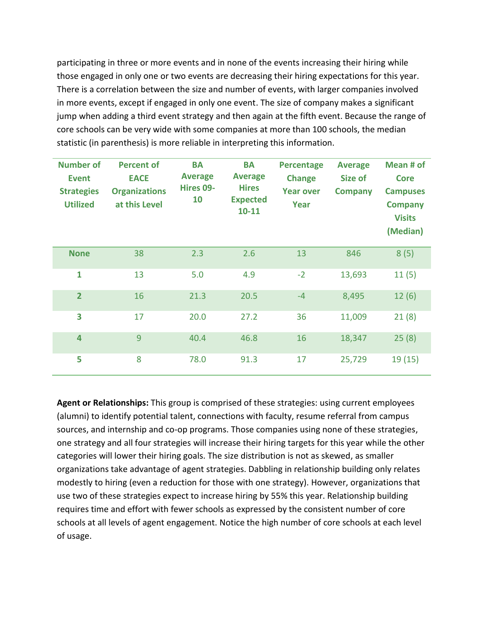participating in three or more events and in none of the events increasing their hiring while those engaged in only one or two events are decreasing their hiring expectations for this year. There is a correlation between the size and number of events, with larger companies involved in more events, except if engaged in only one event. The size of company makes a significant jump when adding a third event strategy and then again at the fifth event. Because the range of core schools can be very wide with some companies at more than 100 schools, the median statistic (in parenthesis) is more reliable in interpreting this information.

| <b>Number of</b><br><b>Event</b><br><b>Strategies</b><br><b>Utilized</b> | <b>Percent of</b><br><b>EACE</b><br><b>Organizations</b><br>at this Level | <b>BA</b><br><b>Average</b><br>Hires 09-<br>10 | <b>BA</b><br><b>Average</b><br><b>Hires</b><br><b>Expected</b><br>$10 - 11$ | <b>Percentage</b><br><b>Change</b><br><b>Year over</b><br>Year | <b>Average</b><br>Size of<br><b>Company</b> | Mean # of<br><b>Core</b><br><b>Campuses</b><br><b>Company</b><br><b>Visits</b><br>(Median) |
|--------------------------------------------------------------------------|---------------------------------------------------------------------------|------------------------------------------------|-----------------------------------------------------------------------------|----------------------------------------------------------------|---------------------------------------------|--------------------------------------------------------------------------------------------|
| <b>None</b>                                                              | 38                                                                        | 2.3                                            | 2.6                                                                         | 13                                                             | 846                                         | 8(5)                                                                                       |
| 1                                                                        | 13                                                                        | 5.0                                            | 4.9                                                                         | $-2$                                                           | 13,693                                      | 11(5)                                                                                      |
| $\overline{2}$                                                           | 16                                                                        | 21.3                                           | 20.5                                                                        | $-4$                                                           | 8,495                                       | 12(6)                                                                                      |
| 3                                                                        | 17                                                                        | 20.0                                           | 27.2                                                                        | 36                                                             | 11,009                                      | 21(8)                                                                                      |
| 4                                                                        | 9                                                                         | 40.4                                           | 46.8                                                                        | 16                                                             | 18,347                                      | 25(8)                                                                                      |
| 5                                                                        | 8                                                                         | 78.0                                           | 91.3                                                                        | 17                                                             | 25,729                                      | 19(15)                                                                                     |

**Agent or Relationships:** This group is comprised of these strategies: using current employees (alumni) to identify potential talent, connections with faculty, resume referral from campus sources, and internship and co-op programs. Those companies using none of these strategies, one strategy and all four strategies will increase their hiring targets for this year while the other categories will lower their hiring goals. The size distribution is not as skewed, as smaller organizations take advantage of agent strategies. Dabbling in relationship building only relates modestly to hiring (even a reduction for those with one strategy). However, organizations that use two of these strategies expect to increase hiring by 55% this year. Relationship building requires time and effort with fewer schools as expressed by the consistent number of core schools at all levels of agent engagement. Notice the high number of core schools at each level of usage.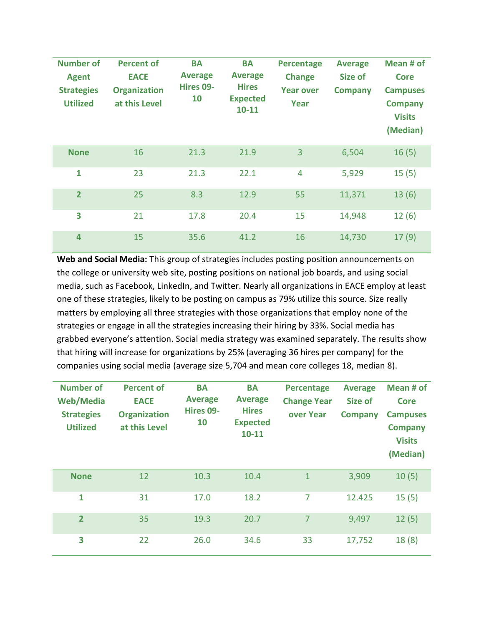| <b>Number of</b><br><b>Agent</b><br><b>Strategies</b><br><b>Utilized</b> | <b>Percent of</b><br><b>EACE</b><br><b>Organization</b><br>at this Level | <b>BA</b><br><b>Average</b><br>Hires 09-<br>10 | <b>BA</b><br><b>Average</b><br><b>Hires</b><br><b>Expected</b><br>$10 - 11$ | <b>Percentage</b><br><b>Change</b><br><b>Year over</b><br>Year | <b>Average</b><br>Size of<br><b>Company</b> | Mean # of<br><b>Core</b><br><b>Campuses</b><br><b>Company</b><br><b>Visits</b><br>(Median) |
|--------------------------------------------------------------------------|--------------------------------------------------------------------------|------------------------------------------------|-----------------------------------------------------------------------------|----------------------------------------------------------------|---------------------------------------------|--------------------------------------------------------------------------------------------|
| <b>None</b>                                                              | 16                                                                       | 21.3                                           | 21.9                                                                        | $\overline{3}$                                                 | 6,504                                       | 16(5)                                                                                      |
| 1                                                                        | 23                                                                       | 21.3                                           | 22.1                                                                        | 4                                                              | 5,929                                       | 15(5)                                                                                      |
| $\overline{2}$                                                           | 25                                                                       | 8.3                                            | 12.9                                                                        | 55                                                             | 11,371                                      | 13(6)                                                                                      |
| 3                                                                        | 21                                                                       | 17.8                                           | 20.4                                                                        | 15                                                             | 14,948                                      | 12(6)                                                                                      |
| 4                                                                        | 15                                                                       | 35.6                                           | 41.2                                                                        | 16                                                             | 14,730                                      | 17(9)                                                                                      |

**Web and Social Media:** This group of strategies includes posting position announcements on the college or university web site, posting positions on national job boards, and using social media, such as Facebook, LinkedIn, and Twitter. Nearly all organizations in EACE employ at least one of these strategies, likely to be posting on campus as 79% utilize this source. Size really matters by employing all three strategies with those organizations that employ none of the strategies or engage in all the strategies increasing their hiring by 33%. Social media has grabbed everyone's attention. Social media strategy was examined separately. The results show that hiring will increase for organizations by 25% (averaging 36 hires per company) for the companies using social media (average size 5,704 and mean core colleges 18, median 8).

| <b>Number of</b><br><b>Web/Media</b><br><b>Strategies</b><br><b>Utilized</b> | <b>Percent of</b><br><b>EACE</b><br><b>Organization</b><br>at this Level | <b>BA</b><br><b>Average</b><br>Hires 09-<br>10 | <b>BA</b><br><b>Average</b><br><b>Hires</b><br><b>Expected</b><br>$10 - 11$ | <b>Percentage</b><br><b>Change Year</b><br>over Year | <b>Average</b><br><b>Size of</b><br><b>Company</b> | Mean # of<br><b>Core</b><br><b>Campuses</b><br><b>Company</b><br><b>Visits</b><br>(Median) |
|------------------------------------------------------------------------------|--------------------------------------------------------------------------|------------------------------------------------|-----------------------------------------------------------------------------|------------------------------------------------------|----------------------------------------------------|--------------------------------------------------------------------------------------------|
| <b>None</b>                                                                  | 12                                                                       | 10.3                                           | 10.4                                                                        | $\mathbf{1}$                                         | 3,909                                              | 10(5)                                                                                      |
| $\mathbf{1}$                                                                 | 31                                                                       | 17.0                                           | 18.2                                                                        | 7                                                    | 12.425                                             | 15(5)                                                                                      |
| $\overline{2}$                                                               | 35                                                                       | 19.3                                           | 20.7                                                                        | $\overline{7}$                                       | 9,497                                              | 12(5)                                                                                      |
| 3                                                                            | 22                                                                       | 26.0                                           | 34.6                                                                        | 33                                                   | 17,752                                             | 18(8)                                                                                      |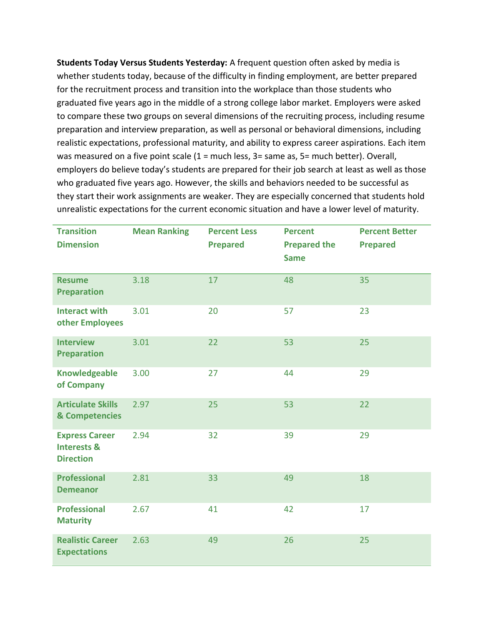**Students Today Versus Students Yesterday:** A frequent question often asked by media is whether students today, because of the difficulty in finding employment, are better prepared for the recruitment process and transition into the workplace than those students who graduated five years ago in the middle of a strong college labor market. Employers were asked to compare these two groups on several dimensions of the recruiting process, including resume preparation and interview preparation, as well as personal or behavioral dimensions, including realistic expectations, professional maturity, and ability to express career aspirations. Each item was measured on a five point scale (1 = much less, 3 = same as, 5 = much better). Overall, employers do believe today's students are prepared for their job search at least as well as those who graduated five years ago. However, the skills and behaviors needed to be successful as they start their work assignments are weaker. They are especially concerned that students hold unrealistic expectations for the current economic situation and have a lower level of maturity.

| <b>Transition</b><br><b>Dimension</b>                               | <b>Mean Ranking</b> | <b>Percent Less</b><br><b>Prepared</b> | <b>Percent</b><br><b>Prepared the</b><br><b>Same</b> | <b>Percent Better</b><br><b>Prepared</b> |
|---------------------------------------------------------------------|---------------------|----------------------------------------|------------------------------------------------------|------------------------------------------|
| <b>Resume</b><br><b>Preparation</b>                                 | 3.18                | 17                                     | 48                                                   | 35                                       |
| <b>Interact with</b><br>other Employees                             | 3.01                | 20                                     | 57                                                   | 23                                       |
| <b>Interview</b><br><b>Preparation</b>                              | 3.01                | 22                                     | 53                                                   | 25                                       |
| <b>Knowledgeable</b><br>of Company                                  | 3.00                | 27                                     | 44                                                   | 29                                       |
| <b>Articulate Skills</b><br>& Competencies                          | 2.97                | 25                                     | 53                                                   | 22                                       |
| <b>Express Career</b><br><b>Interests &amp;</b><br><b>Direction</b> | 2.94                | 32                                     | 39                                                   | 29                                       |
| <b>Professional</b><br><b>Demeanor</b>                              | 2.81                | 33                                     | 49                                                   | 18                                       |
| <b>Professional</b><br><b>Maturity</b>                              | 2.67                | 41                                     | 42                                                   | 17                                       |
| <b>Realistic Career</b><br><b>Expectations</b>                      | 2.63                | 49                                     | 26                                                   | 25                                       |